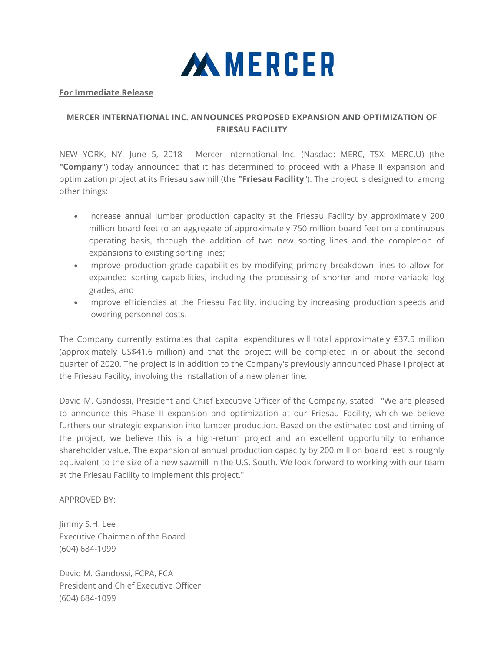

## **For Immediate Release**

## **MERCER INTERNATIONAL INC. ANNOUNCES PROPOSED EXPANSION AND OPTIMIZATION OF FRIESAU FACILITY**

NEW YORK, NY, June 5, 2018 - Mercer International Inc. (Nasdaq: MERC, TSX: MERC.U) (the **"Company"**) today announced that it has determined to proceed with a Phase II expansion and optimization project at its Friesau sawmill (the **"Friesau Facility**"). The project is designed to, among other things:

- increase annual lumber production capacity at the Friesau Facility by approximately 200 million board feet to an aggregate of approximately 750 million board feet on a continuous operating basis, through the addition of two new sorting lines and the completion of expansions to existing sorting lines;
- improve production grade capabilities by modifying primary breakdown lines to allow for expanded sorting capabilities, including the processing of shorter and more variable log grades; and
- improve efficiencies at the Friesau Facility, including by increasing production speeds and lowering personnel costs.

The Company currently estimates that capital expenditures will total approximately €37.5 million (approximately US\$41.6 million) and that the project will be completed in or about the second quarter of 2020. The project is in addition to the Company's previously announced Phase I project at the Friesau Facility, involving the installation of a new planer line.

David M. Gandossi, President and Chief Executive Officer of the Company, stated: "We are pleased to announce this Phase II expansion and optimization at our Friesau Facility, which we believe furthers our strategic expansion into lumber production. Based on the estimated cost and timing of the project, we believe this is a high-return project and an excellent opportunity to enhance shareholder value. The expansion of annual production capacity by 200 million board feet is roughly equivalent to the size of a new sawmill in the U.S. South. We look forward to working with our team at the Friesau Facility to implement this project."

## APPROVED BY:

Jimmy S.H. Lee Executive Chairman of the Board (604) 684-1099

David M. Gandossi, FCPA, FCA President and Chief Executive Officer (604) 684-1099